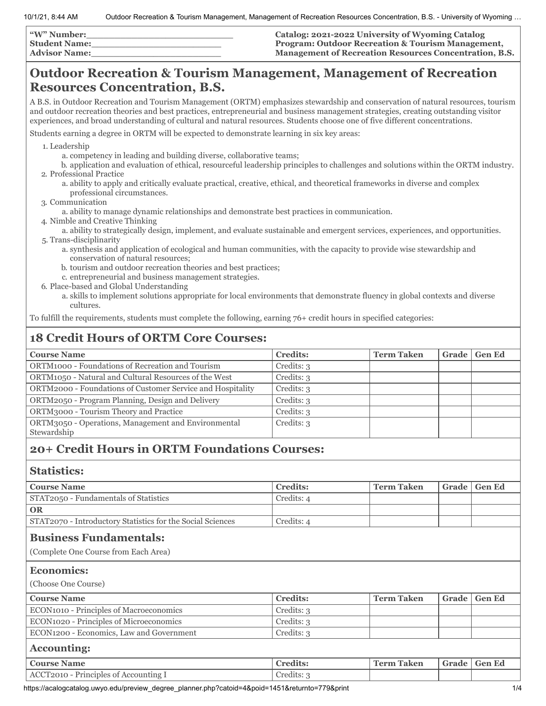| <b>W"</b> Number:    | Catalog: 2021-2022 University of Wyoming Catalog              |
|----------------------|---------------------------------------------------------------|
| <b>Student Name:</b> | <b>Program: Outdoor Recreation &amp; Tourism Management,</b>  |
| <b>Advisor Name:</b> | <b>Management of Recreation Resources Concentration, B.S.</b> |

# **Outdoor Recreation & Tourism Management, Management of Recreation Resources Concentration, B.S.**

A B.S. in Outdoor Recreation and Tourism Management (ORTM) emphasizes stewardship and conservation of natural resources, tourism and outdoor recreation theories and best practices, entrepreneurial and business management strategies, creating outstanding visitor experiences, and broad understanding of cultural and natural resources. Students choose one of five different concentrations.

Students earning a degree in ORTM will be expected to demonstrate learning in six key areas:

1. Leadership

- a. competency in leading and building diverse, collaborative teams;
- b. application and evaluation of ethical, resourceful leadership principles to challenges and solutions within the ORTM industry. 2. Professional Practice
	- a. ability to apply and critically evaluate practical, creative, ethical, and theoretical frameworks in diverse and complex professional circumstances.
- 3. Communication
	- a. ability to manage dynamic relationships and demonstrate best practices in communication.
- 4. Nimble and Creative Thinking
- a. ability to strategically design, implement, and evaluate sustainable and emergent services, experiences, and opportunities. 5. Trans-disciplinarity
	- a. synthesis and application of ecological and human communities, with the capacity to provide wise stewardship and conservation of natural resources;
	- b. tourism and outdoor recreation theories and best practices;
	- c. entrepreneurial and business management strategies.
- 6. Place-based and Global Understanding
	- a. skills to implement solutions appropriate for local environments that demonstrate fluency in global contexts and diverse cultures.

To fulfill the requirements, students must complete the following, earning 76+ credit hours in specified categories:

# **18 Credit Hours of ORTM Core Courses:**

| <b>Course Name</b>                                                 | <b>Credits:</b> | <b>Term Taken</b> | Grade | <b>Gen Ed</b> |
|--------------------------------------------------------------------|-----------------|-------------------|-------|---------------|
| ORTM1000 - Foundations of Recreation and Tourism                   | Credits: 3      |                   |       |               |
| ORTM1050 - Natural and Cultural Resources of the West              | Credits: 3      |                   |       |               |
| ORTM2000 - Foundations of Customer Service and Hospitality         | Credits: 3      |                   |       |               |
| ORTM2050 - Program Planning, Design and Delivery                   | Credits: 3      |                   |       |               |
| ORTM3000 - Tourism Theory and Practice                             | Credits: 3      |                   |       |               |
| ORTM3050 - Operations, Management and Environmental<br>Stewardship | Credits: 3      |                   |       |               |
|                                                                    |                 |                   |       |               |

## **20+ Credit Hours in ORTM Foundations Courses:**

#### **Statistics:**

| <b>Course Name</b>                                                    | <b>Credits:</b> | <b>Term Taken</b> | Grade | <b>Gen Ed</b> |
|-----------------------------------------------------------------------|-----------------|-------------------|-------|---------------|
| STAT2050 - Fundamentals of Statistics                                 | Credits: 4      |                   |       |               |
| <b>OR</b>                                                             |                 |                   |       |               |
| STAT2070 - Introductory Statistics for the Social Sciences            | Credits: 4      |                   |       |               |
| <b>Business Fundamentals:</b><br>(Complete One Course from Each Area) |                 |                   |       |               |
| <b>Economics:</b>                                                     |                 |                   |       |               |
| (Choose One Course)                                                   |                 |                   |       |               |
| <b>Course Name</b>                                                    | <b>Credits:</b> | <b>Term Taken</b> | Grade | <b>Gen Ed</b> |
| ECON1010 - Principles of Macroeconomics                               | Credits: 3      |                   |       |               |
| ECON1020 - Principles of Microeconomics                               | Credits: 3      |                   |       |               |
|                                                                       |                 |                   |       |               |
| ECON1200 - Economics, Law and Government                              | Credits: 3      |                   |       |               |
| <b>Accounting:</b>                                                    |                 |                   |       |               |
| <b>Course Name</b>                                                    | <b>Credits:</b> | <b>Term Taken</b> | Grade | <b>Gen Ed</b> |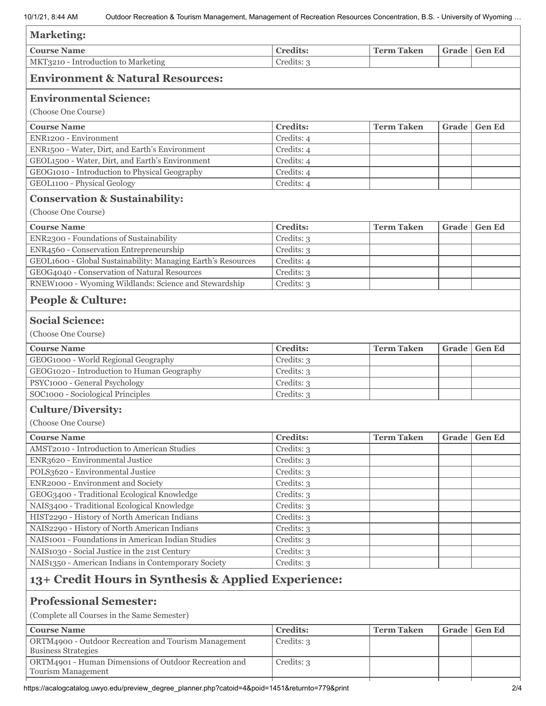| <b>Marketing:</b>                                                          |                               |                   |       |               |
|----------------------------------------------------------------------------|-------------------------------|-------------------|-------|---------------|
| <b>Course Name</b>                                                         | <b>Credits:</b>               | <b>Term Taken</b> | Grade | <b>Gen Ed</b> |
| MKT3210 - Introduction to Marketing                                        | Credits: 3                    |                   |       |               |
| <b>Environment &amp; Natural Resources:</b>                                |                               |                   |       |               |
| <b>Environmental Science:</b>                                              |                               |                   |       |               |
| (Choose One Course)                                                        |                               |                   |       |               |
| <b>Course Name</b>                                                         | <b>Credits:</b>               | <b>Term Taken</b> | Grade | <b>Gen Ed</b> |
| ENR1200 - Environment                                                      | Credits: 4                    |                   |       |               |
| ENR1500 - Water, Dirt, and Earth's Environment                             | Credits: 4                    |                   |       |               |
| GEOL1500 - Water, Dirt, and Earth's Environment                            | Credits: 4                    |                   |       |               |
| GEOG1010 - Introduction to Physical Geography                              | Credits: 4                    |                   |       |               |
| GEOL1100 - Physical Geology                                                | Credits: 4                    |                   |       |               |
| <b>Conservation &amp; Sustainability:</b>                                  |                               |                   |       |               |
| (Choose One Course)                                                        |                               |                   |       |               |
| <b>Course Name</b>                                                         | <b>Credits:</b>               | <b>Term Taken</b> | Grade | <b>Gen Ed</b> |
| ENR2300 - Foundations of Sustainability                                    | Credits: 3                    |                   |       |               |
| ENR4560 - Conservation Entrepreneurship                                    | Credits: 3                    |                   |       |               |
| GEOL1600 - Global Sustainability: Managing Earth's Resources               | Credits: 4                    |                   |       |               |
| GEOG4040 - Conservation of Natural Resources                               | Credits: 3                    |                   |       |               |
| RNEW1000 - Wyoming Wildlands: Science and Stewardship                      | Credits: 3                    |                   |       |               |
| <b>People &amp; Culture:</b>                                               |                               |                   |       |               |
| <b>Social Science:</b>                                                     |                               |                   |       |               |
| (Choose One Course)                                                        |                               |                   |       |               |
| <b>Course Name</b>                                                         | <b>Credits:</b>               | <b>Term Taken</b> | Grade | <b>Gen Ed</b> |
| GEOG1000 - World Regional Geography                                        | Credits: 3                    |                   |       |               |
| GEOG1020 - Introduction to Human Geography                                 | Credits: 3                    |                   |       |               |
| PSYC1000 - General Psychology                                              | Credits: 3                    |                   |       |               |
| SOC1000 - Sociological Principles                                          | Credits: 3                    |                   |       |               |
| <b>Culture/Diversity:</b>                                                  |                               |                   |       |               |
| (Choose One Course)                                                        |                               |                   |       |               |
|                                                                            |                               |                   |       |               |
| <b>Course Name</b><br>AMST2010 - Introduction to American Studies          | <b>Credits:</b><br>Credits: 3 | <b>Term Taken</b> | Grade | <b>Gen Ed</b> |
| ENR3620 - Environmental Justice                                            | Credits: 3                    |                   |       |               |
| POLS3620 - Environmental Justice                                           | Credits: 3                    |                   |       |               |
| ENR2000 - Environment and Society                                          | Credits: 3                    |                   |       |               |
| GEOG3400 - Traditional Ecological Knowledge                                | Credits: 3                    |                   |       |               |
| NAIS3400 - Traditional Ecological Knowledge                                | Credits: 3                    |                   |       |               |
| HIST2290 - History of North American Indians                               | Credits: 3                    |                   |       |               |
| NAIS2290 - History of North American Indians                               | Credits: 3                    |                   |       |               |
| NAIS1001 - Foundations in American Indian Studies                          | Credits: 3                    |                   |       |               |
| NAIS1030 - Social Justice in the 21st Century                              | Credits: 3                    |                   |       |               |
| NAIS1350 - American Indians in Contemporary Society                        | Credits: 3                    |                   |       |               |
| 13+ Credit Hours in Synthesis & Applied Experience:                        |                               |                   |       |               |
| <b>Professional Semester:</b>                                              |                               |                   |       |               |
| (Complete all Courses in the Same Semester)                                |                               |                   |       |               |
|                                                                            |                               |                   |       |               |
| <b>Course Name</b><br>ORTM4900 - Outdoor Recreation and Tourism Management | <b>Credits:</b><br>Credits: 3 | <b>Term Taken</b> | Grade | <b>Gen Ed</b> |
| <b>Business Strategies</b>                                                 |                               |                   |       |               |
| ORTM4901 - Human Dimensions of Outdoor Recreation and                      | Credits: 3                    |                   |       |               |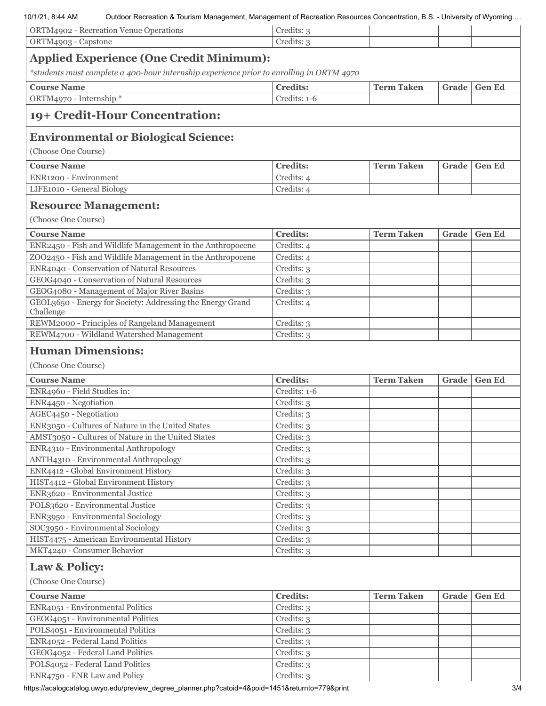#### 10/1/21, 8:44 AM Outdoor Recreation & Tourism Management, Management of Recreation Resources Concentration, B.S. - University of Wyoming …

| IV/ I/Z I. 0.44 AIVI<br>Outdoor Recreation & Tourism Management, Management of Recreation Resources Concentration, B.S. - Only ensity or Wyoming | Credits: 3      |                   |       |               |
|--------------------------------------------------------------------------------------------------------------------------------------------------|-----------------|-------------------|-------|---------------|
| ORTM4902 - Recreation Venue Operations<br>ORTM4903 - Capstone                                                                                    | Credits: 3      |                   |       |               |
|                                                                                                                                                  |                 |                   |       |               |
| <b>Applied Experience (One Credit Minimum):</b>                                                                                                  |                 |                   |       |               |
| *students must complete a 400-hour internship experience prior to enrolling in ORTM 4970                                                         |                 |                   |       |               |
| <b>Course Name</b>                                                                                                                               | <b>Credits:</b> | <b>Term Taken</b> | Grade | <b>Gen Ed</b> |
| ORTM4970 - Internship *                                                                                                                          | Credits: 1-6    |                   |       |               |
| 19+ Credit-Hour Concentration:                                                                                                                   |                 |                   |       |               |
| <b>Environmental or Biological Science:</b>                                                                                                      |                 |                   |       |               |
| (Choose One Course)                                                                                                                              |                 |                   |       |               |
| <b>Course Name</b>                                                                                                                               | <b>Credits:</b> | <b>Term Taken</b> | Grade | <b>Gen Ed</b> |
| ENR1200 - Environment                                                                                                                            | Credits: 4      |                   |       |               |
| LIFE1010 - General Biology                                                                                                                       | Credits: 4      |                   |       |               |
|                                                                                                                                                  |                 |                   |       |               |
| <b>Resource Management:</b>                                                                                                                      |                 |                   |       |               |
| (Choose One Course)                                                                                                                              |                 |                   |       |               |
| <b>Course Name</b>                                                                                                                               | <b>Credits:</b> | <b>Term Taken</b> | Grade | <b>Gen Ed</b> |
| ENR2450 - Fish and Wildlife Management in the Anthropocene                                                                                       | Credits: 4      |                   |       |               |
| ZOO2450 - Fish and Wildlife Management in the Anthropocene                                                                                       | Credits: 4      |                   |       |               |
| ENR4040 - Conservation of Natural Resources                                                                                                      | Credits: 3      |                   |       |               |
| GEOG4040 - Conservation of Natural Resources                                                                                                     | Credits: 3      |                   |       |               |
| GEOG4080 - Management of Major River Basins                                                                                                      | Credits: 3      |                   |       |               |
| GEOL3650 - Energy for Society: Addressing the Energy Grand<br>Challenge                                                                          | Credits: 4      |                   |       |               |
| REWM2000 - Principles of Rangeland Management                                                                                                    | Credits: 3      |                   |       |               |
| REWM4700 - Wildland Watershed Management                                                                                                         | Credits: 3      |                   |       |               |
| <b>Human Dimensions:</b><br>(Choose One Course)<br><b>Course Name</b>                                                                            | <b>Credits:</b> | <b>Term Taken</b> | Grade | <b>Gen Ed</b> |
| ENR4960 - Field Studies in:                                                                                                                      | Credits: 1-6    |                   |       |               |
| ENR4450 - Negotiation                                                                                                                            | Credits: 3      |                   |       |               |
| AGEC4450 - Negotiation                                                                                                                           | Credits: 3      |                   |       |               |
| ENR3050 - Cultures of Nature in the United States                                                                                                | Credits: 3      |                   |       |               |
| AMST3050 - Cultures of Nature in the United States                                                                                               | Credits: 3      |                   |       |               |
| ENR4310 - Environmental Anthropology                                                                                                             | Credits: 3      |                   |       |               |
| ANTH4310 - Environmental Anthropology                                                                                                            | Credits: 3      |                   |       |               |
| ENR4412 - Global Environment History                                                                                                             | Credits: 3      |                   |       |               |
| HIST4412 - Global Environment History                                                                                                            | Credits: 3      |                   |       |               |
| ENR3620 - Environmental Justice                                                                                                                  | Credits: 3      |                   |       |               |
| POLS3620 - Environmental Justice                                                                                                                 | Credits: 3      |                   |       |               |
| ENR3950 - Environmental Sociology                                                                                                                | Credits: 3      |                   |       |               |
| SOC3950 - Environmental Sociology                                                                                                                | Credits: 3      |                   |       |               |
| HIST4475 - American Environmental History                                                                                                        | Credits: 3      |                   |       |               |
| MKT4240 - Consumer Behavior                                                                                                                      | Credits: 3      |                   |       |               |
| <b>Law &amp; Policy:</b>                                                                                                                         |                 |                   |       |               |
| (Choose One Course)                                                                                                                              |                 |                   |       |               |
| <b>Course Name</b>                                                                                                                               | <b>Credits:</b> | <b>Term Taken</b> | Grade | <b>Gen Ed</b> |
| ENR4051 - Environmental Politics                                                                                                                 | Credits: 3      |                   |       |               |
| GEOG4051 - Environmental Politics                                                                                                                | Credits: 3      |                   |       |               |
| POLS4051 - Environmental Politics                                                                                                                | Credits: 3      |                   |       |               |
| ENR4052 - Federal Land Politics                                                                                                                  | Credits: 3      |                   |       |               |
| GEOG4052 - Federal Land Politics                                                                                                                 | Credits: 3      |                   |       |               |
| POLS4052 - Federal Land Politics                                                                                                                 | Credits: 3      |                   |       |               |
| ENR4750 - ENR Law and Policy                                                                                                                     | Credits: 3      |                   |       |               |

https://acalogcatalog.uwyo.edu/preview\_degree\_planner.php?catoid=4&poid=1451&returnto=779&print 3/4